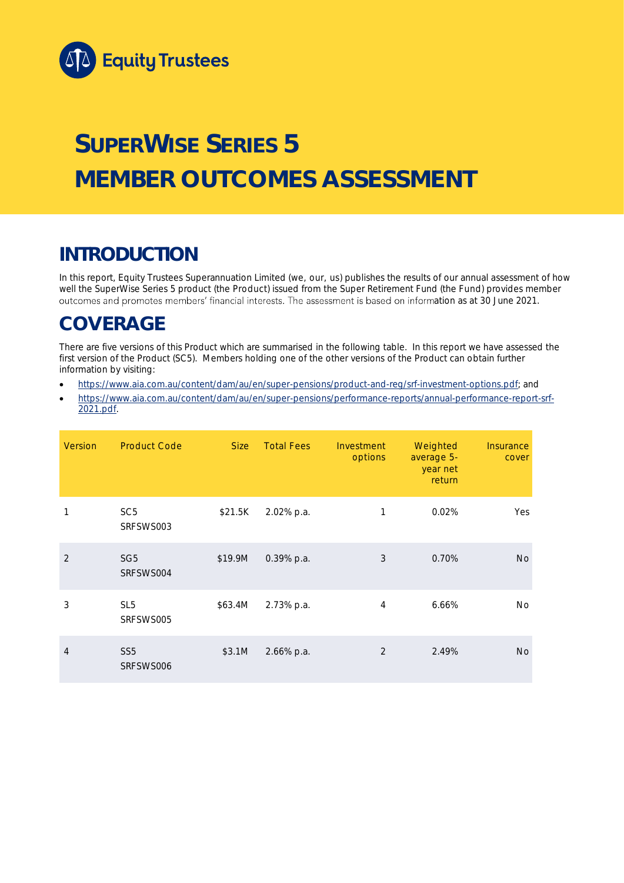

# **SUPERWISE SERIES 5 MEMBER OUTCOMES ASSESSMENT**

### **INTRODUCTION**

In this report, Equity Trustees Superannuation Limited (we, our, us) publishes the results of our annual assessment of how well the SuperWise Series 5 product (the Product) issued from the Super Retirement Fund (the Fund) provides member outcomes and promotes members' financial interests. The assessment is based on information as at 30 June 2021.

### **COVERAGE**

There are five versions of this Product which are summarised in the following table. In this report we have assessed the first version of the Product (SC5). Members holding one of the other versions of the Product can obtain further information by visiting:

- [https://www.aia.com.au/content/dam/au/en/super-pensions/product-and-reg/srf-investment-options.pdf;](https://www.aia.com.au/content/dam/au/en/super-pensions/product-and-reg/srf-investment-options.pdf) and
- [https://www.aia.com.au/content/dam/au/en/super-pensions/performance-reports/annual-performance-report-srf-](https://www.aia.com.au/content/dam/au/en/super-pensions/performance-reports/annual-performance-report-srf-2021.pdf)[2021.pdf.](https://www.aia.com.au/content/dam/au/en/super-pensions/performance-reports/annual-performance-report-srf-2021.pdf)

| <b>Version</b> | <b>Product Code</b>          | Size    | <b>Total Fees</b> | Investment<br>options | Weighted<br>average 5-<br>year net<br>return | Insurance<br>cover |
|----------------|------------------------------|---------|-------------------|-----------------------|----------------------------------------------|--------------------|
| 1              | SC <sub>5</sub><br>SRFSWS003 | \$21.5K | 2.02% p.a.        | 1                     | 0.02%                                        | Yes                |
| $\mathcal{P}$  | SG <sub>5</sub><br>SRFSWS004 | \$19.9M | 0.39% p.a.        | 3                     | 0.70%                                        | <b>No</b>          |
| 3              | SL <sub>5</sub><br>SRFSWS005 | \$63.4M | 2.73% p.a.        | 4                     | 6.66%                                        | <b>No</b>          |
| 4              | SS <sub>5</sub><br>SRFSWS006 | \$3.1M  | 2.66% p.a.        | 2                     | 2.49%                                        | <b>No</b>          |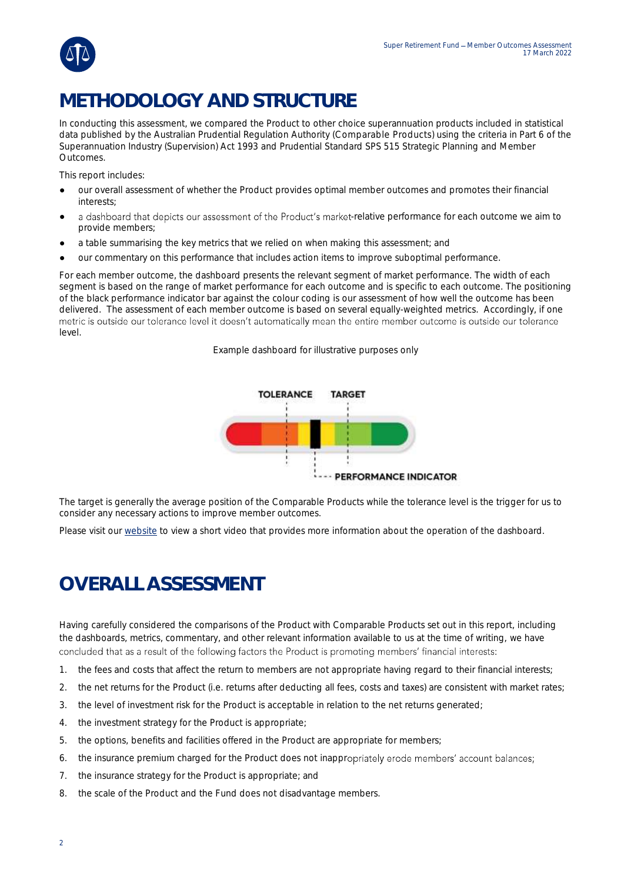

## **METHODOLOGY AND STRUCTURE**

In conducting this assessment, we compared the Product to other choice superannuation products included in statistical data published by the Australian Prudential Regulation Authority (Comparable Products) using the criteria in Part 6 of the *Superannuation Industry (Supervision) Act 1993* and Prudential Standard SPS 515 *Strategic Planning and Member Outcomes*.

This report includes:

- our overall assessment of whether the Product provides optimal member outcomes and promotes their financial interests;
- a dashboard that depicts our assessment of the Product's market-relative performance for each outcome we aim to provide members;
- a table summarising the key metrics that we relied on when making this assessment; and
- our commentary on this performance that includes action items to improve suboptimal performance.

For each member outcome, the dashboard presents the relevant segment of market performance. The width of each segment is based on the range of market performance for each outcome and is specific to each outcome. The positioning of the black performance indicator bar against the colour coding is our assessment of how well the outcome has been delivered. The assessment of each member outcome is based on several equally-weighted metrics. Accordingly, if one metric is outside our tolerance level it doesn't automatically mean the entire member outcome is outside our tolerance level.

*Example dashboard for illustrative purposes only*



The target is generally the average position of the Comparable Products while the tolerance level is the trigger for us to consider any necessary actions to improve member outcomes.

Please visit our [website](https://www.eqt.com.au/superannuation) to view a short video that provides more information about the operation of the dashboard.

## **OVERALL ASSESSMENT**

Having carefully considered the comparisons of the Product with Comparable Products set out in this report, including the dashboards, metrics, commentary, and other relevant information available to us at the time of writing, we have concluded that as a result of the following factors the Product is promoting members' financial interests:

- 1. the fees and costs that affect the return to members are not appropriate having regard to their financial interests;
- 2. the net returns for the Product (i.e. returns after deducting all fees, costs and taxes) are consistent with market rates;
- 3. the level of investment risk for the Product is acceptable in relation to the net returns generated;
- 4. the investment strategy for the Product is appropriate;
- 5. the options, benefits and facilities offered in the Product are appropriate for members;
- 6. the insurance premium charged for the Product does not inappropriately erode members' account balances;
- 7. the insurance strategy for the Product is appropriate; and
- 8. the scale of the Product and the Fund does not disadvantage members.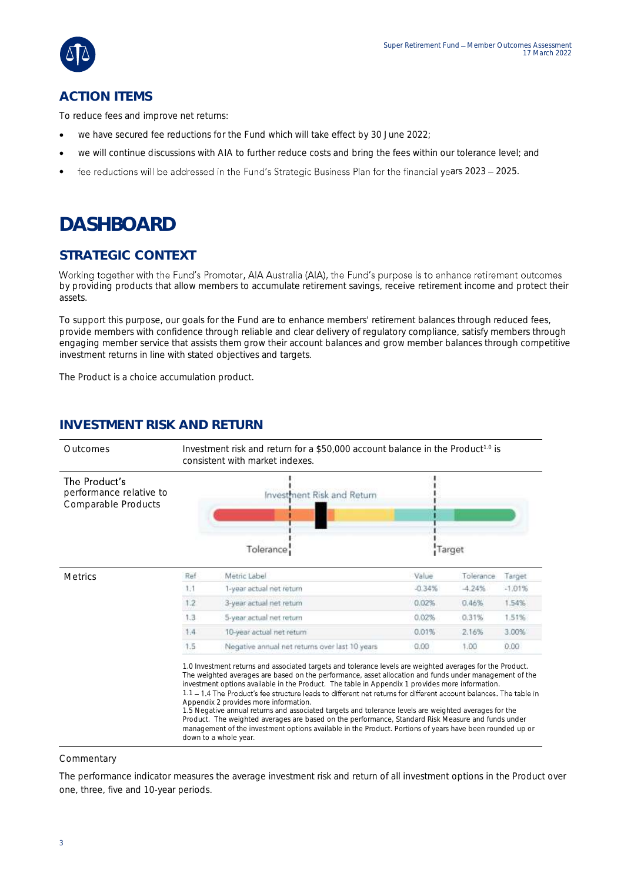

### **ACTION ITEMS**

To reduce fees and improve net returns:

- we have secured fee reductions for the Fund which will take effect by 30 June 2022;
- we will continue discussions with AIA to further reduce costs and bring the fees within our tolerance level; and
- fee reductions will be addressed in the Fund's Strategic Business Plan for the financial years 2023 2025.

### **DASHBOARD**

### **STRATEGIC CONTEXT**

Working together with the Fund's Promoter, AIA Australia (AIA), the Fund's purpose is to enhance retirement outcomes by providing products that allow members to accumulate retirement savings, receive retirement income and protect their assets.

To support this purpose, our goals for the Fund are to enhance members' retirement balances through reduced fees, provide members with confidence through reliable and clear delivery of regulatory compliance, satisfy members through engaging member service that assists them grow their account balances and grow member balances through competitive investment returns in line with stated objectives and targets.

The Product is a choice accumulation product.

### **INVESTMENT RISK AND RETURN**



Commentary

The performance indicator measures the average investment risk and return of all investment options in the Product over one, three, five and 10-year periods.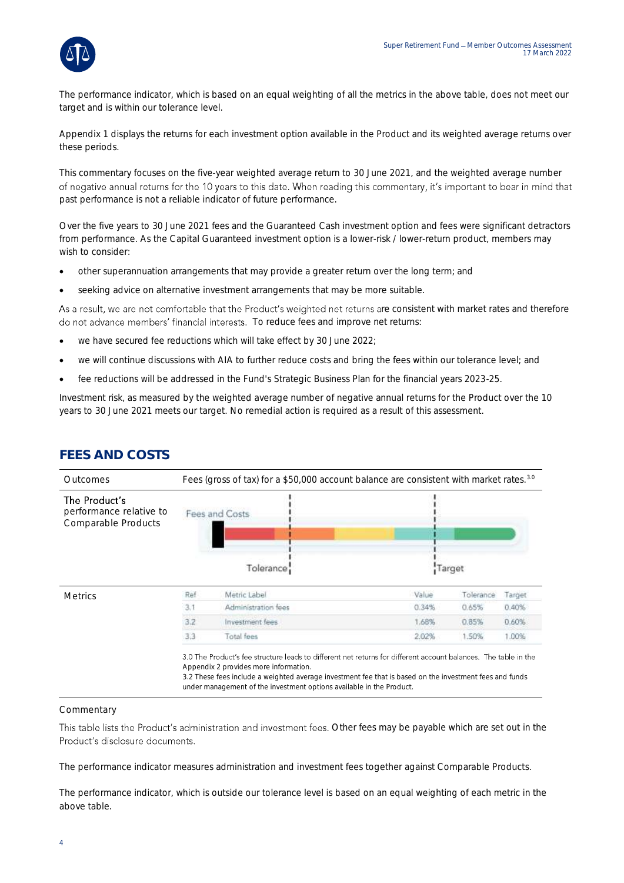

The performance indicator, which is based on an equal weighting of all the metrics in the above table, does not meet our target and is within our tolerance level.

Appendix 1 displays the returns for each investment option available in the Product and its weighted average returns over these periods.

This commentary focuses on the five-year weighted average return to 30 June 2021, and the weighted average number of negative annual returns for the 10 years to this date. When reading this commentary, it's important to bear in mind that past performance is not a reliable indicator of future performance.

Over the five years to 30 June 2021 fees and the Guaranteed Cash investment option and fees were significant detractors from performance. As the Capital Guaranteed investment option is a lower-risk / lower-return product, members may wish to consider:

- other superannuation arrangements that may provide a greater return over the long term; and
- seeking advice on alternative investment arrangements that may be more suitable.

As a result, we are not comfortable that the Product's weighted net returns are consistent with market rates and therefore do not advance members' financial interests. To reduce fees and improve net returns:

- we have secured fee reductions which will take effect by 30 June 2022;
- we will continue discussions with AIA to further reduce costs and bring the fees within our tolerance level; and
- fee reductions will be addressed in the Fund's Strategic Business Plan for the financial years 2023-25.

Investment risk, as measured by the weighted average number of negative annual returns for the Product over the 10 years to 30 June 2021 meets our target. No remedial action is required as a result of this assessment.

| Outcomes                                                        | Fees (gross of tax) for a \$50,000 account balance are consistent with market rates. <sup>3.0</sup> |                        |       |           |        |
|-----------------------------------------------------------------|-----------------------------------------------------------------------------------------------------|------------------------|-------|-----------|--------|
| The Product's<br>performance relative to<br>Comparable Products |                                                                                                     | Fees and Costs         |       |           |        |
|                                                                 |                                                                                                     | Tolerance <sup>1</sup> |       | Target    |        |
| <b>Metrics</b>                                                  | Ref                                                                                                 | Metric Label           | Value | Tolerance | Target |
|                                                                 | 3.1                                                                                                 | Administration fees    | 0.34% | 0.65%     | 0.40%  |
|                                                                 | 3.2                                                                                                 | Investment fees.       | 1.68% | 0.85%     | 0.60%  |
|                                                                 | 3.3                                                                                                 | Total fees             | 2.02% | 1.50%     | 1.00%  |

#### **FEES AND COSTS**

**Commentary** 

This table lists the Product's administration and investment fees. Other fees may be payable which are set out in the Product's disclosure documents.

The performance indicator measures administration and investment fees together against Comparable Products.

The performance indicator, which is outside our tolerance level is based on an equal weighting of each metric in the above table.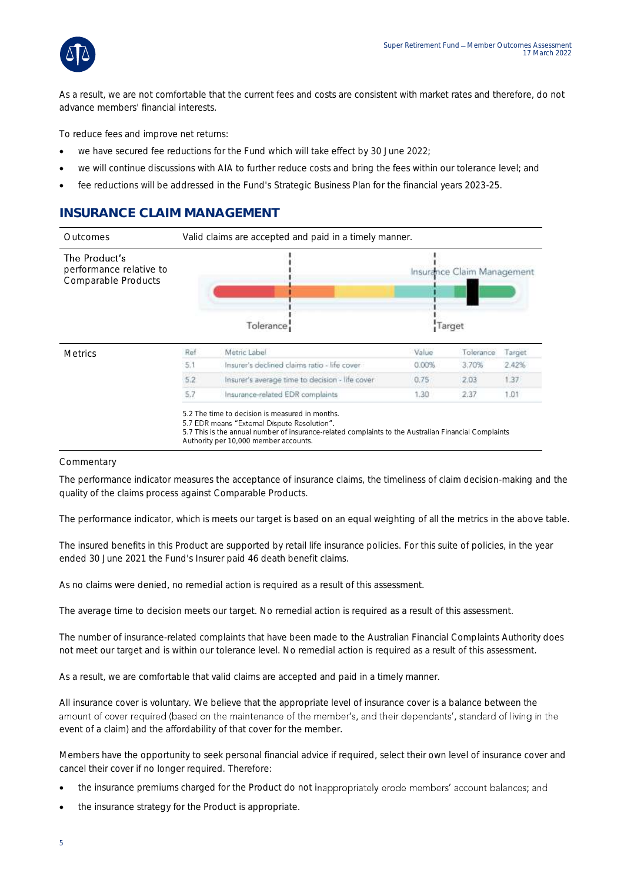

As a result, we are not comfortable that the current fees and costs are consistent with market rates and therefore, do not advance members' financial interests.

To reduce fees and improve net returns:

- we have secured fee reductions for the Fund which will take effect by 30 June 2022;
- we will continue discussions with AIA to further reduce costs and bring the fees within our tolerance level; and
- fee reductions will be addressed in the Fund's Strategic Business Plan for the financial years 2023-25.

### **INSURANCE CLAIM MANAGEMENT**



#### Commentary

The performance indicator measures the acceptance of insurance claims, the timeliness of claim decision-making and the quality of the claims process against Comparable Products.

The performance indicator, which is meets our target is based on an equal weighting of all the metrics in the above table.

The insured benefits in this Product are supported by retail life insurance policies. For this suite of policies, in the year ended 30 June 2021 the Fund's Insurer paid 46 death benefit claims.

As no claims were denied, no remedial action is required as a result of this assessment.

The average time to decision meets our target. No remedial action is required as a result of this assessment.

The number of insurance-related complaints that have been made to the Australian Financial Complaints Authority does not meet our target and is within our tolerance level. No remedial action is required as a result of this assessment.

As a result, we are comfortable that valid claims are accepted and paid in a timely manner.

All insurance cover is voluntary. We believe that the appropriate level of insurance cover is a balance between the amount of cover required (based on the maintenance of the member's, and their dependants', standard of living in the event of a claim) and the affordability of that cover for the member.

Members have the opportunity to seek personal financial advice if required, select their own level of insurance cover and cancel their cover if no longer required. Therefore:

- the insurance premiums charged for the Product do not inappropriately erode members' account balances; and
- the insurance strategy for the Product is appropriate.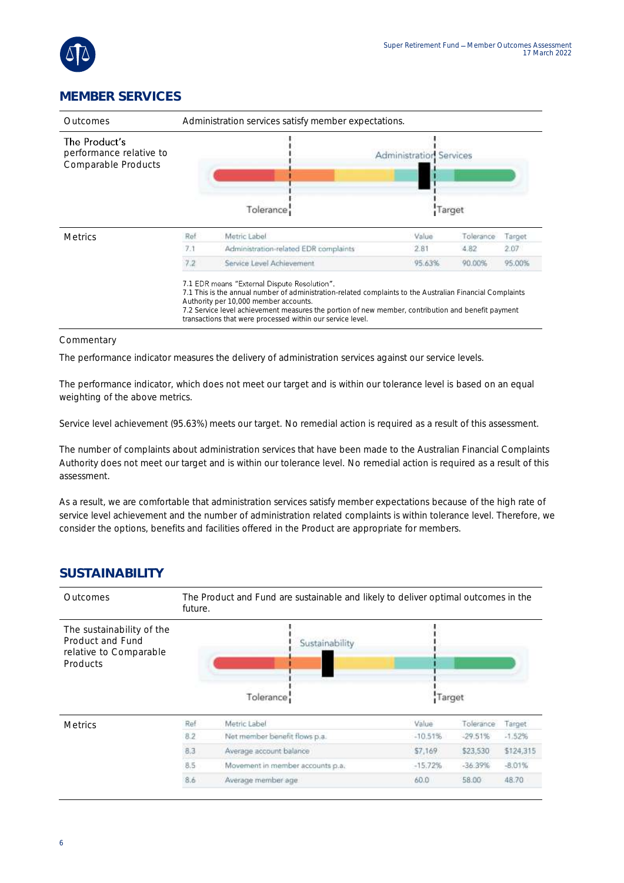

### **MEMBER SERVICES**

| Administration services satisfy member expectations.<br>Outcomes |     |                                                                                                                                                                                                                                                                                                                                                                        |                                          |           |        |  |
|------------------------------------------------------------------|-----|------------------------------------------------------------------------------------------------------------------------------------------------------------------------------------------------------------------------------------------------------------------------------------------------------------------------------------------------------------------------|------------------------------------------|-----------|--------|--|
| The Product's<br>performance relative to<br>Comparable Products  |     | Tolerance:                                                                                                                                                                                                                                                                                                                                                             | <b>Administration Services</b><br>Target |           |        |  |
| <b>Metrics</b>                                                   | Ref | Metric Label                                                                                                                                                                                                                                                                                                                                                           | Value                                    | Tolerance | Target |  |
|                                                                  | 7.1 | Administration-related EDR complaints                                                                                                                                                                                                                                                                                                                                  | 2.81                                     | 4.82      | 2.07   |  |
|                                                                  | 7.2 | Service Level Achievement                                                                                                                                                                                                                                                                                                                                              | 95.63%                                   | 90.00%    | 95.00% |  |
|                                                                  |     | 7.1 EDR means "External Dispute Resolution".<br>7.1 This is the annual number of administration-related complaints to the Australian Financial Complaints<br>Authority per 10,000 member accounts.<br>7.2 Service level achievement measures the portion of new member, contribution and benefit payment<br>transactions that were processed within our service level. |                                          |           |        |  |

#### Commentary

The performance indicator measures the delivery of administration services against our service levels.

The performance indicator, which does not meet our target and is within our tolerance level is based on an equal weighting of the above metrics.

Service level achievement (95.63%) meets our target. No remedial action is required as a result of this assessment.

The number of complaints about administration services that have been made to the Australian Financial Complaints Authority does not meet our target and is within our tolerance level. No remedial action is required as a result of this assessment.

As a result, we are comfortable that administration services satisfy member expectations because of the high rate of service level achievement and the number of administration related complaints is within tolerance level. Therefore, we consider the options, benefits and facilities offered in the Product are appropriate for members.

#### **SUSTAINABILITY**

| <b>Outcomes</b>                                                                     | The Product and Fund are sustainable and likely to deliver optimal outcomes in the<br>future. |                                  |           |           |               |  |
|-------------------------------------------------------------------------------------|-----------------------------------------------------------------------------------------------|----------------------------------|-----------|-----------|---------------|--|
| The sustainability of the<br>Product and Fund<br>relative to Comparable<br>Products |                                                                                               | Sustainability<br>Tolerance      | Target    |           |               |  |
| <b>Metrics</b>                                                                      | Ref                                                                                           | Metric Label                     | Value     | Tolerance | <b>Target</b> |  |
|                                                                                     | 8.2                                                                                           | Not member benefit flows p.a.    | $-10.51%$ | $-29.51%$ | $-1.52%$      |  |
|                                                                                     | 8.3                                                                                           | Average account balance          | \$7,169   | \$23,530  | \$124,315     |  |
|                                                                                     | 8.5                                                                                           | Movement in member accounts p.a. | $-15.72%$ | $-36.39%$ | $-8.01%$      |  |
|                                                                                     | 8.6                                                                                           | Average member age               | 60.0      | 58.00     | 48.70         |  |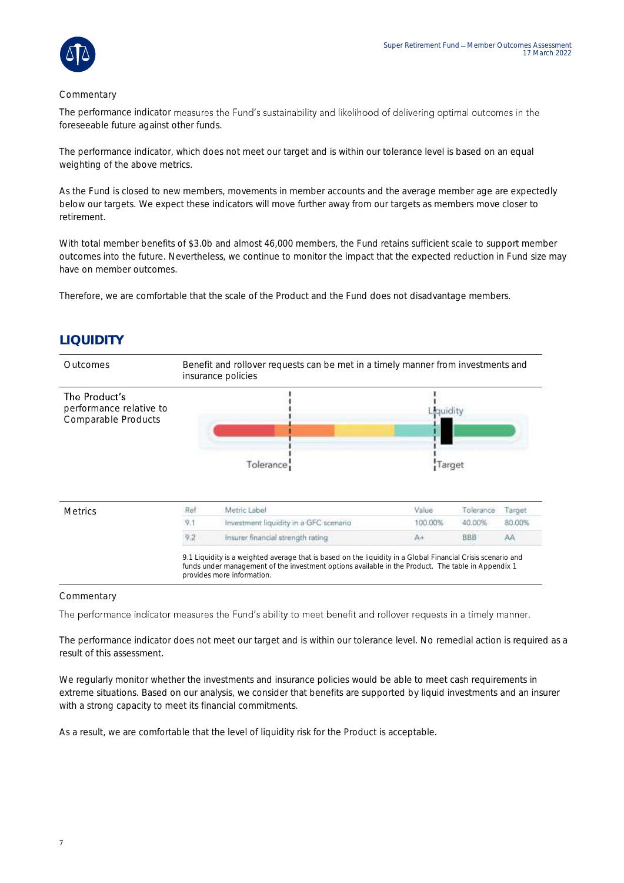

#### **Commentary**

The performance indicator measures the Fund's sustainability and likelihood of delivering optimal outcomes in the foreseeable future against other funds.

The performance indicator, which does not meet our target and is within our tolerance level is based on an equal weighting of the above metrics.

As the Fund is closed to new members, movements in member accounts and the average member age are expectedly below our targets. We expect these indicators will move further away from our targets as members move closer to retirement.

With total member benefits of \$3.0b and almost 46,000 members, the Fund retains sufficient scale to support member outcomes into the future. Nevertheless, we continue to monitor the impact that the expected reduction in Fund size may have on member outcomes.

Therefore, we are comfortable that the scale of the Product and the Fund does not disadvantage members.

### **LIQUIDITY**



#### **Commentary**

The performance indicator measures the Fund's ability to meet benefit and rollover requests in a timely manner.

The performance indicator does not meet our target and is within our tolerance level. No remedial action is required as a result of this assessment.

We regularly monitor whether the investments and insurance policies would be able to meet cash requirements in extreme situations. Based on our analysis, we consider that benefits are supported by liquid investments and an insurer with a strong capacity to meet its financial commitments.

As a result, we are comfortable that the level of liquidity risk for the Product is acceptable.